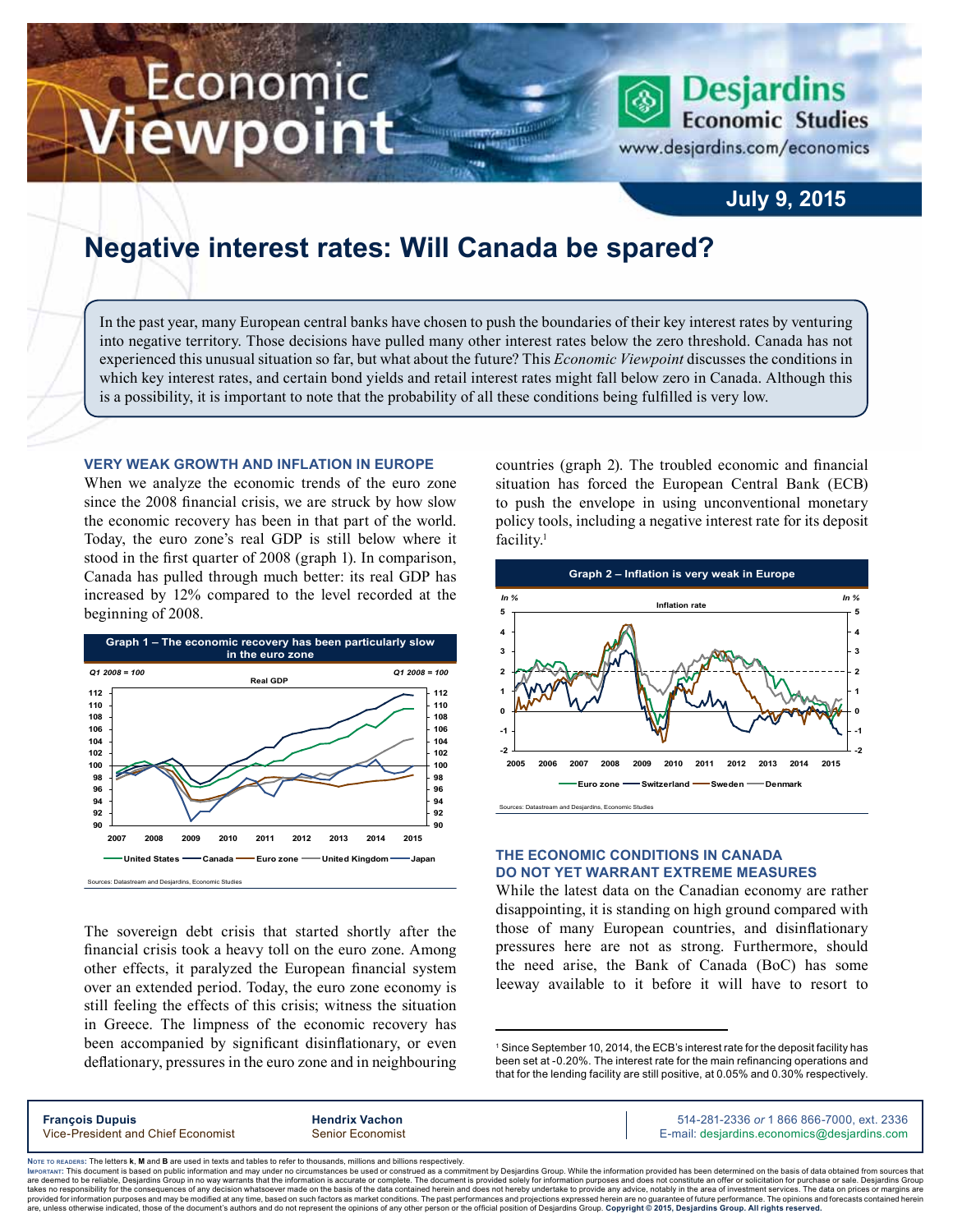# Economic ewpoint

**Desjardins Economic Studies** 

www.desjardins.com/economics

### **July 9, 2015**

## **Negative interest rates: Will Canada be spared?**

In the past year, many European central banks have chosen to push the boundaries of their key interest rates by venturing into negative territory. Those decisions have pulled many other interest rates below the zero threshold. Canada has not experienced this unusual situation so far, but what about the future? This *Economic Viewpoint* discusses the conditions in which key interest rates, and certain bond yields and retail interest rates might fall below zero in Canada. Although this is a possibility, it is important to note that the probability of all these conditions being fulfilled is very low.

m

#### **Very weak growth and inflation in Europe**

When we analyze the economic trends of the euro zone since the 2008 financial crisis, we are struck by how slow the economic recovery has been in that part of the world. Today, the euro zone's real GDP is still below where it stood in the first quarter of 2008 (graph 1). In comparison, Canada has pulled through much better: its real GDP has increased by 12% compared to the level recorded at the beginning of 2008.



The sovereign debt crisis that started shortly after the financial crisis took a heavy toll on the euro zone. Among other effects, it paralyzed the European financial system over an extended period. Today, the euro zone economy is still feeling the effects of this crisis; witness the situation in Greece. The limpness of the economic recovery has been accompanied by significant disinflationary, or even deflationary, pressures in the euro zone and in neighbouring countries (graph 2). The troubled economic and financial situation has forced the European Central Bank (ECB) to push the envelope in using unconventional monetary policy tools, including a negative interest rate for its deposit facility.<sup>1</sup>



#### **The economic conditions in Canada do not yet warrant extreme measures**

While the latest data on the Canadian economy are rather disappointing, it is standing on high ground compared with those of many European countries, and disinflationary pressures here are not as strong. Furthermore, should the need arise, the Bank of Canada (BoC) has some leeway available to it before it will have to resort to

1 Since September 10, 2014, the ECB's interest rate for the deposit facility has been set at -0.20%. The interest rate for the main refinancing operations and that for the lending facility are still positive, at 0.05% and 0.30% respectively.

| <b>François Dupuis</b>             | <b>Hendrix Vachon</b> | 514-281-2336 or 1 866 866-7000, ext. 2336   |
|------------------------------------|-----------------------|---------------------------------------------|
| Vice-President and Chief Economist | Senior Economist      | E-mail: desjardins.economics@desjardins.com |
|                                    |                       |                                             |

Noте то келоекs: The letters **k, M** and **B** are used in texts and tables to refer to thousands, millions and billions respectively.<br>Імроктлит: This document is based on public information and may under no circumstances be are deemed to be reliable. Desiardins Group in no way warrants that the information is accurate or complete. The document is provided solely for information purposes and does not constitute an offer or solicitation for pur takes no responsibility for the consequences of any decision whatsoever made on the basis of the data contained herein and does not hereby undertake to provide any advice, notably in the area of investment services. The da .<br>are, unless otherwise indicated, those of the document's authors and do not represent the opinions of any other person or the official position of Desjardins Group. Copyright © 2015, Desjardins Group. All rights reserve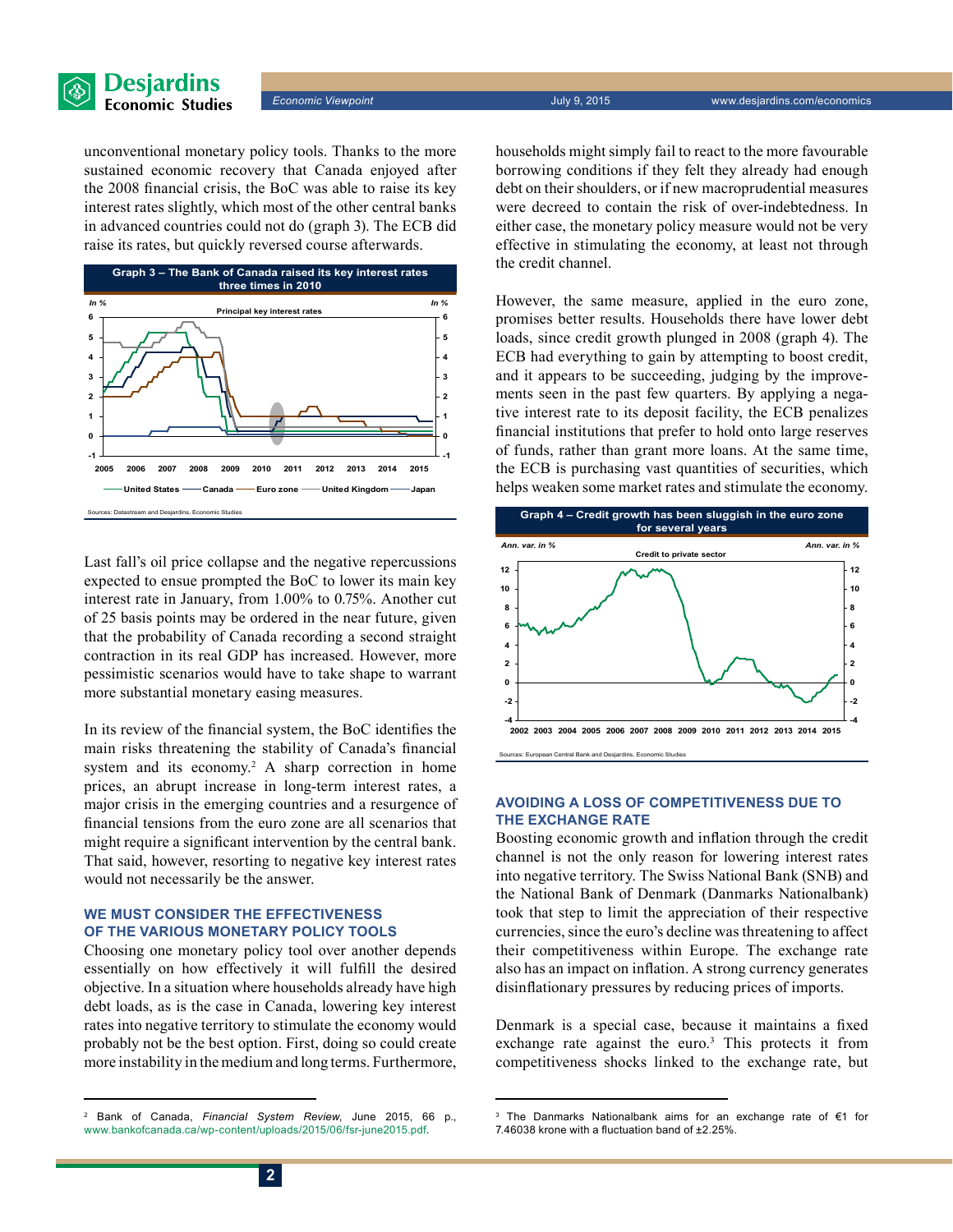

*Economic Viewpoint* July 9, 2015 www.desjardins.com/economics

unconventional monetary policy tools. Thanks to the more sustained economic recovery that Canada enjoyed after the 2008 financial crisis, the BoC was able to raise its key interest rates slightly, which most of the other central banks in advanced countries could not do (graph 3). The ECB did raise its rates, but quickly reversed course afterwards.



Last fall's oil price collapse and the negative repercussions expected to ensue prompted the BoC to lower its main key interest rate in January, from 1.00% to 0.75%. Another cut of 25 basis points may be ordered in the near future, given that the probability of Canada recording a second straight contraction in its real GDP has increased. However, more pessimistic scenarios would have to take shape to warrant more substantial monetary easing measures.

In its review of the financial system, the BoC identifies the main risks threatening the stability of Canada's financial system and its economy.<sup>2</sup> A sharp correction in home prices, an abrupt increase in long-term interest rates, a major crisis in the emerging countries and a resurgence of financial tensions from the euro zone are all scenarios that might require a significant intervention by the central bank. That said, however, resorting to negative key interest rates would not necessarily be the answer.

#### **We must consider the effectiveness of the various monetary policy tools**

Choosing one monetary policy tool over another depends essentially on how effectively it will fulfill the desired objective. In a situation where households already have high debt loads, as is the case in Canada, lowering key interest rates into negative territory to stimulate the economy would probably not be the best option. First, doing so could create more instability in the medium and long terms. Furthermore, households might simply fail to react to the more favourable borrowing conditions if they felt they already had enough debt on their shoulders, or if new macroprudential measures were decreed to contain the risk of over-indebtedness. In either case, the monetary policy measure would not be very effective in stimulating the economy, at least not through the credit channel.

However, the same measure, applied in the euro zone, promises better results. Households there have lower debt loads, since credit growth plunged in 2008 (graph 4). The ECB had everything to gain by attempting to boost credit, and it appears to be succeeding, judging by the improvements seen in the past few quarters. By applying a negative interest rate to its deposit facility, the ECB penalizes financial institutions that prefer to hold onto large reserves of funds, rather than grant more loans. At the same time, the ECB is purchasing vast quantities of securities, which helps weaken some market rates and stimulate the economy.



#### **Avoiding a loss of competitiveness due to the exchange rate**

Boosting economic growth and inflation through the credit channel is not the only reason for lowering interest rates into negative territory. The Swiss National Bank (SNB) and the National Bank of Denmark (Danmarks Nationalbank) took that step to limit the appreciation of their respective currencies, since the euro's decline was threatening to affect their competitiveness within Europe. The exchange rate also has an impact on inflation. A strong currency generates disinflationary pressures by reducing prices of imports.

Denmark is a special case, because it maintains a fixed exchange rate against the euro.<sup>3</sup> This protects it from competitiveness shocks linked to the exchange rate, but

<sup>2</sup> Bank of Canada, *Financial System Review*, June 2015, 66 p., [www.bankofcanada.ca/wp-content/uploads/2015/06/fsr-june2015.pdf.](http://www.bankofcanada.ca/wp-content/uploads/2015/06/fsr-june2015.pdf)

<sup>3</sup> The Danmarks Nationalbank aims for an exchange rate of €1 for 7.46038 krone with a fluctuation band of ±2.25%.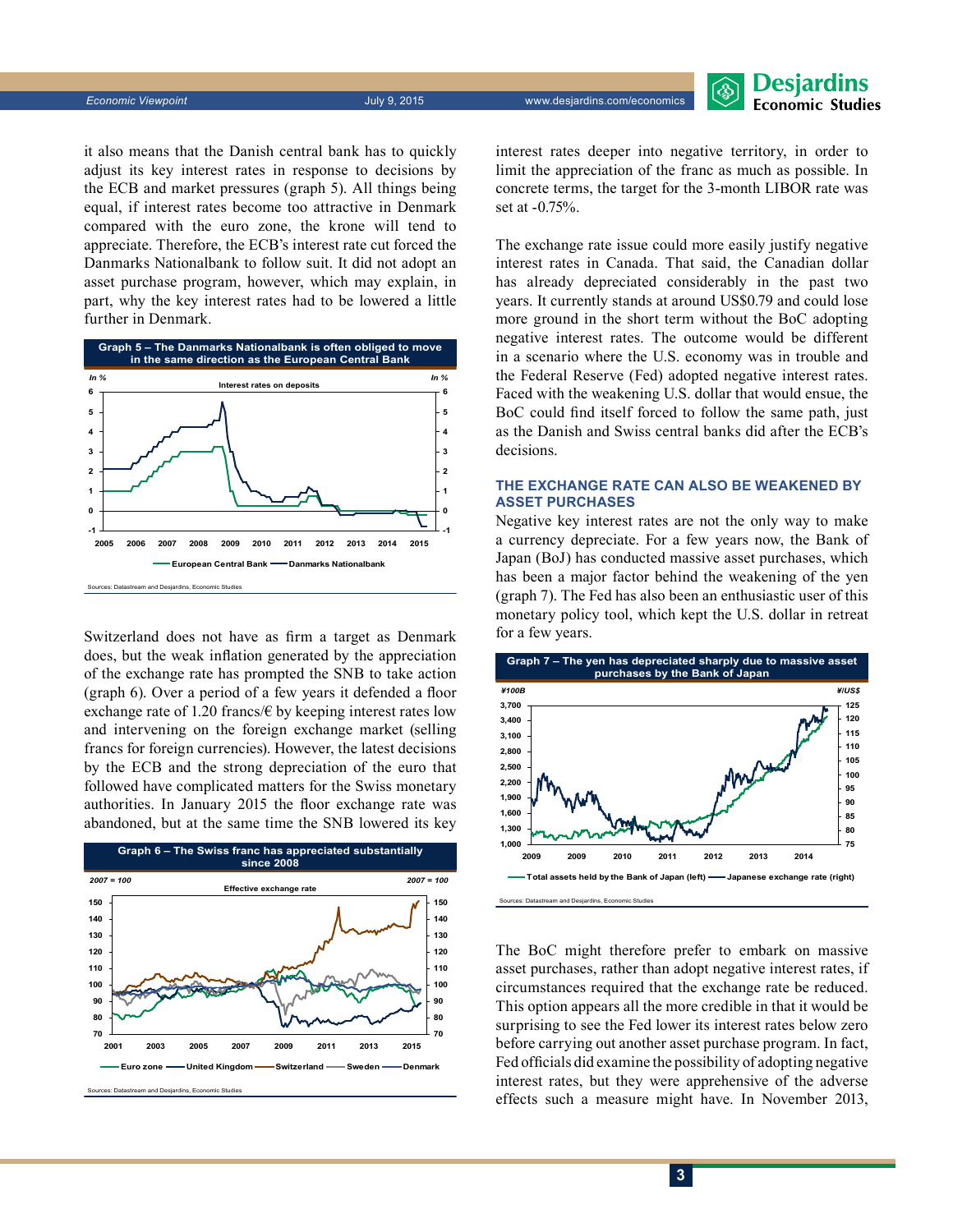Desjardins **Economic Studies** 

it also means that the Danish central bank has to quickly adjust its key interest rates in response to decisions by the ECB and market pressures (graph 5). All things being equal, if interest rates become too attractive in Denmark compared with the euro zone, the krone will tend to appreciate. Therefore, the ECB's interest rate cut forced the Danmarks Nationalbank to follow suit. It did not adopt an asset purchase program, however, which may explain, in part, why the key interest rates had to be lowered a little further in Denmark.



Switzerland does not have as firm a target as Denmark does, but the weak inflation generated by the appreciation of the exchange rate has prompted the SNB to take action (graph 6). Over a period of a few years it defended a floor exchange rate of 1.20 francs/ $\epsilon$  by keeping interest rates low and intervening on the foreign exchange market (selling francs for foreign currencies). However, the latest decisions by the ECB and the strong depreciation of the euro that followed have complicated matters for the Swiss monetary authorities. In January 2015 the floor exchange rate was abandoned, but at the same time the SNB lowered its key



interest rates deeper into negative territory, in order to limit the appreciation of the franc as much as possible. In concrete terms, the target for the 3‑month LIBOR rate was set at -0.75%.

The exchange rate issue could more easily justify negative interest rates in Canada. That said, the Canadian dollar has already depreciated considerably in the past two years. It currently stands at around US\$0.79 and could lose more ground in the short term without the BoC adopting negative interest rates. The outcome would be different in a scenario where the U.S. economy was in trouble and the Federal Reserve (Fed) adopted negative interest rates. Faced with the weakening U.S. dollar that would ensue, the BoC could find itself forced to follow the same path, just as the Danish and Swiss central banks did after the ECB's decisions.

#### **The exchange rate can also be weakened by asset purchases**

Negative key interest rates are not the only way to make a currency depreciate. For a few years now, the Bank of Japan (BoJ) has conducted massive asset purchases, which has been a major factor behind the weakening of the yen (graph 7). The Fed has also been an enthusiastic user of this monetary policy tool, which kept the U.S. dollar in retreat for a few years.



The BoC might therefore prefer to embark on massive asset purchases, rather than adopt negative interest rates, if circumstances required that the exchange rate be reduced. This option appears all the more credible in that it would be surprising to see the Fed lower its interest rates below zero before carrying out another asset purchase program. In fact, Fed officials did examine the possibility of adopting negative interest rates, but they were apprehensive of the adverse effects such a measure might have. In November 2013,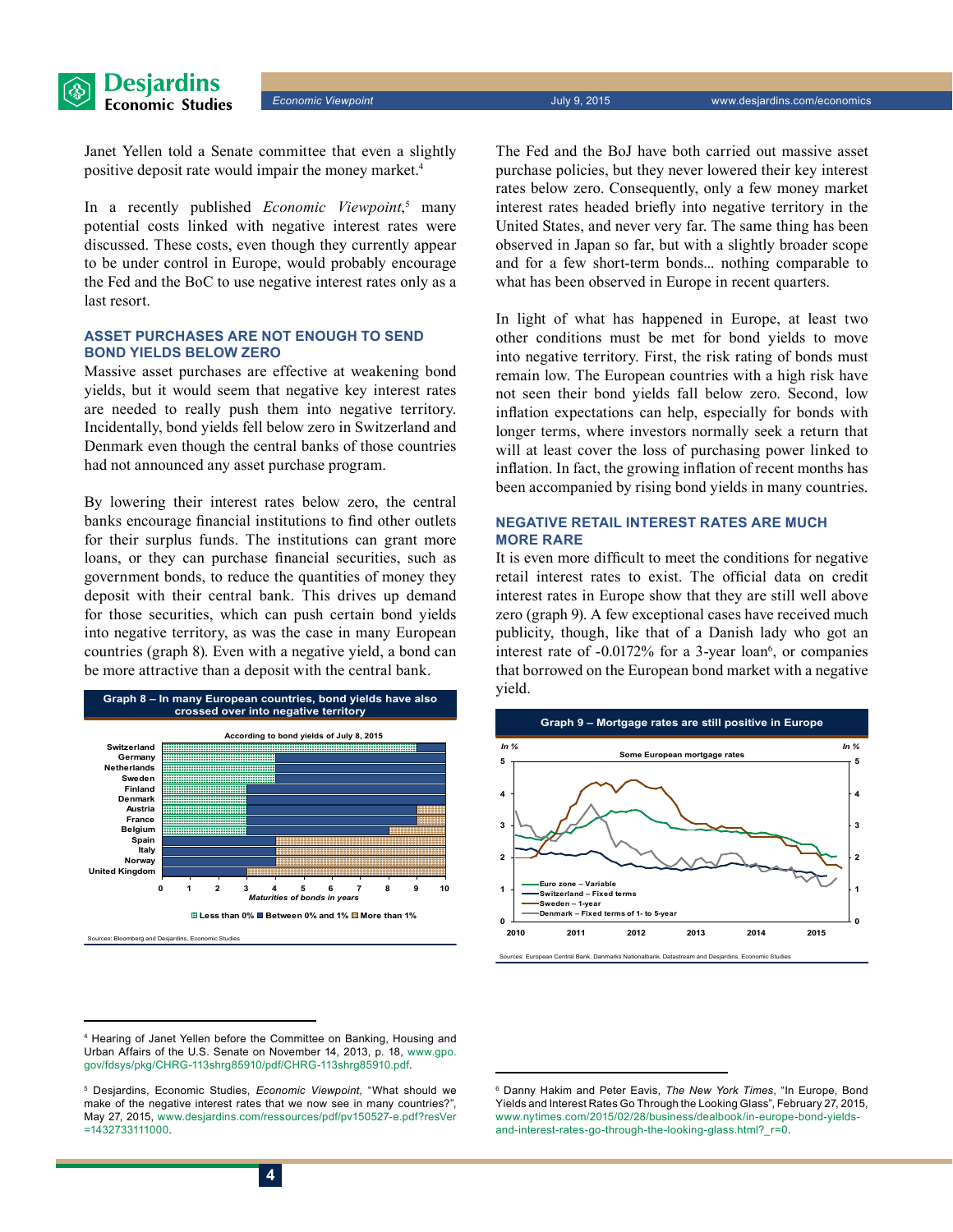

*Economic Viewpoint* July 9, 2015 www.desjardins.com/economics

Janet Yellen told a Senate committee that even a slightly positive deposit rate would impair the money market.<sup>4</sup>

In a recently published *Economic Viewpoint*, 5 many potential costs linked with negative interest rates were discussed. These costs, even though they currently appear to be under control in Europe, would probably encourage the Fed and the BoC to use negative interest rates only as a last resort.

#### **Asset purchases are not enough to send bond yields below zero**

Massive asset purchases are effective at weakening bond yields, but it would seem that negative key interest rates are needed to really push them into negative territory. Incidentally, bond yields fell below zero in Switzerland and Denmark even though the central banks of those countries had not announced any asset purchase program.

By lowering their interest rates below zero, the central banks encourage financial institutions to find other outlets for their surplus funds. The institutions can grant more loans, or they can purchase financial securities, such as government bonds, to reduce the quantities of money they deposit with their central bank. This drives up demand for those securities, which can push certain bond yields into negative territory, as was the case in many European countries (graph 8). Even with a negative yield, a bond can be more attractive than a deposit with the central bank.



The Fed and the BoJ have both carried out massive asset purchase policies, but they never lowered their key interest rates below zero. Consequently, only a few money market interest rates headed briefly into negative territory in the United States, and never very far. The same thing has been observed in Japan so far, but with a slightly broader scope and for a few short-term bonds... nothing comparable to what has been observed in Europe in recent quarters.

In light of what has happened in Europe, at least two other conditions must be met for bond yields to move into negative territory. First, the risk rating of bonds must remain low. The European countries with a high risk have not seen their bond yields fall below zero. Second, low inflation expectations can help, especially for bonds with longer terms, where investors normally seek a return that will at least cover the loss of purchasing power linked to inflation. In fact, the growing inflation of recent months has been accompanied by rising bond yields in many countries.

#### **Negative retail interest rates are much more rare**

It is even more difficult to meet the conditions for negative retail interest rates to exist. The official data on credit interest rates in Europe show that they are still well above zero (graph 9). A few exceptional cases have received much publicity, though, like that of a Danish lady who got an interest rate of -0.0172% for a 3-year loan<sup>6</sup>, or companies that borrowed on the European bond market with a negative yield.



Sources: European Central Bank, Danmarks Nationalbank, Datastream and Desjardins, Economic Studies

<sup>4</sup> Hearing of Janet Yellen before the Committee on Banking, Housing and Urban Affairs of the U.S. Senate on November 14, 2013, p. 18, [www.gpo.](http://www.gpo.gov/fdsys/pkg/CHRG-113shrg85910/pdf/CHRG-113shrg85910.pdf) [gov/fdsys/pkg/CHRG-113shrg85910/pdf/CHRG-113shrg85910.pdf.](http://www.gpo.gov/fdsys/pkg/CHRG-113shrg85910/pdf/CHRG-113shrg85910.pdf)

<sup>5</sup> Desjardins, Economic Studies, *Economic Viewpoint*, "What should we make of the negative interest rates that we now see in many countries?", May 27, 2015, [www.desjardins.com/ressources/pdf/pv150527-e.pdf?resVer](http://www.desjardins.com/ressources/pdf/pv150527-e.pdf?resVer=1432733111000) [=1432733111000](http://www.desjardins.com/ressources/pdf/pv150527-e.pdf?resVer=1432733111000).

<sup>6</sup> Danny Hakim and Peter Eavis, *The New York Times*, "In Europe, Bond Yields and Interest Rates Go Through the Looking Glass", February 27, 2015, [www.nytimes.com/2015/02/28/business/dealbook/in-europe-bond-yields](http://www.nytimes.com/2015/02/28/business/dealbook/in-europe-bond-yields-and-interest-rates-go-through-the-looking-glass.html?_r=0)[and-interest-rates-go-through-the-looking-glass.html?\\_r=0](http://www.nytimes.com/2015/02/28/business/dealbook/in-europe-bond-yields-and-interest-rates-go-through-the-looking-glass.html?_r=0).